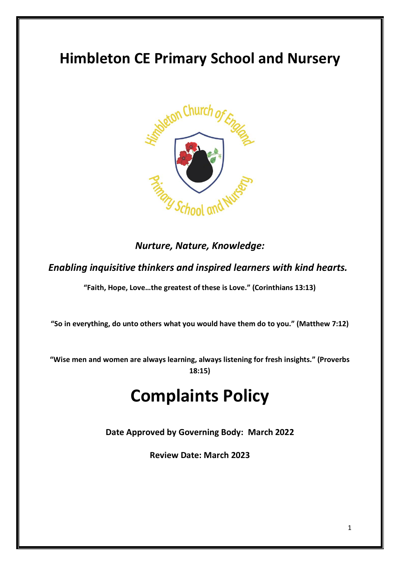# **Himbleton CE Primary School and Nursery**



### *Nurture, Nature, Knowledge:*

*Enabling inquisitive thinkers and inspired learners with kind hearts.*

**"Faith, Hope, Love…the greatest of these is Love." (Corinthians 13:13)**

**"So in everything, do unto others what you would have them do to you." (Matthew 7:12)**

**"Wise men and women are always learning, always listening for fresh insights." (Proverbs 18:15)**

# **Complaints Policy**

**Date Approved by Governing Body: March 2022**

**Review Date: March 2023**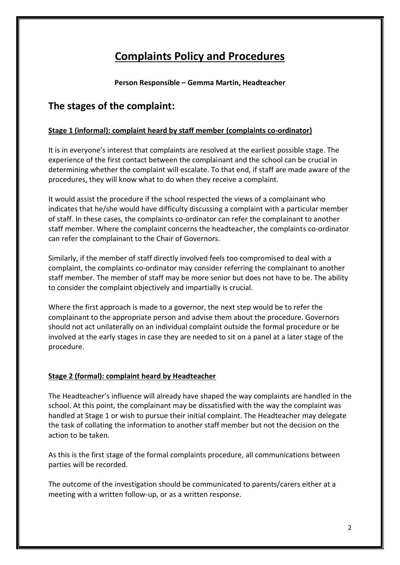## **Complaints Policy and Procedures**

**Person Responsible – Gemma Martin, Headteacher**

### **The stages of the complaint:**

#### **Stage 1 (informal): complaint heard by staff member (complaints co-ordinator)**

It is in everyone's interest that complaints are resolved at the earliest possible stage. The experience of the first contact between the complainant and the school can be crucial in determining whether the complaint will escalate. To that end, if staff are made aware of the procedures, they will know what to do when they receive a complaint.

It would assist the procedure if the school respected the views of a complainant who indicates that he/she would have difficulty discussing a complaint with a particular member of staff. In these cases, the complaints co-ordinator can refer the complainant to another staff member. Where the complaint concerns the headteacher, the complaints co-ordinator can refer the complainant to the Chair of Governors.

Similarly, if the member of staff directly involved feels too compromised to deal with a complaint, the complaints co-ordinator may consider referring the complainant to another staff member. The member of staff may be more senior but does not have to be. The ability to consider the complaint objectively and impartially is crucial.

Where the first approach is made to a governor, the next step would be to refer the complainant to the appropriate person and advise them about the procedure. Governors should not act unilaterally on an individual complaint outside the formal procedure or be involved at the early stages in case they are needed to sit on a panel at a later stage of the procedure.

#### **Stage 2 (formal): complaint heard by Headteacher**

The Headteacher's influence will already have shaped the way complaints are handled in the school. At this point, the complainant may be dissatisfied with the way the complaint was handled at Stage 1 or wish to pursue their initial complaint. The Headteacher may delegate the task of collating the information to another staff member but not the decision on the action to be taken.

As this is the first stage of the formal complaints procedure, all communications between parties will be recorded.

The outcome of the investigation should be communicated to parents/carers either at a meeting with a written follow-up, or as a written response.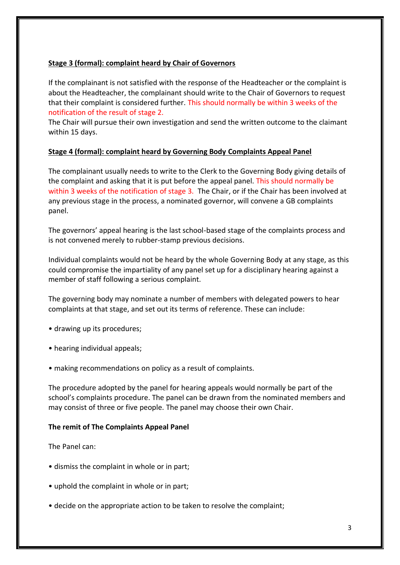#### **Stage 3 (formal): complaint heard by Chair of Governors**

If the complainant is not satisfied with the response of the Headteacher or the complaint is about the Headteacher, the complainant should write to the Chair of Governors to request that their complaint is considered further. This should normally be within 3 weeks of the notification of the result of stage 2.

The Chair will pursue their own investigation and send the written outcome to the claimant within 15 days.

#### **Stage 4 (formal): complaint heard by Governing Body Complaints Appeal Panel**

The complainant usually needs to write to the Clerk to the Governing Body giving details of the complaint and asking that it is put before the appeal panel. This should normally be within 3 weeks of the notification of stage 3. The Chair, or if the Chair has been involved at any previous stage in the process, a nominated governor, will convene a GB complaints panel.

The governors' appeal hearing is the last school-based stage of the complaints process and is not convened merely to rubber-stamp previous decisions.

Individual complaints would not be heard by the whole Governing Body at any stage, as this could compromise the impartiality of any panel set up for a disciplinary hearing against a member of staff following a serious complaint.

The governing body may nominate a number of members with delegated powers to hear complaints at that stage, and set out its terms of reference. These can include:

- drawing up its procedures;
- hearing individual appeals;
- making recommendations on policy as a result of complaints.

The procedure adopted by the panel for hearing appeals would normally be part of the school's complaints procedure. The panel can be drawn from the nominated members and may consist of three or five people. The panel may choose their own Chair.

#### **The remit of The Complaints Appeal Panel**

#### The Panel can:

- dismiss the complaint in whole or in part;
- uphold the complaint in whole or in part;
- decide on the appropriate action to be taken to resolve the complaint;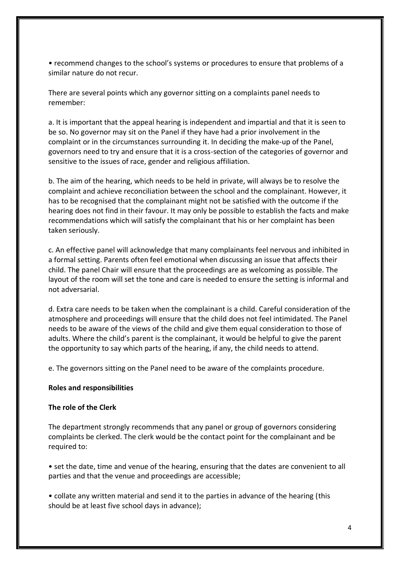• recommend changes to the school's systems or procedures to ensure that problems of a similar nature do not recur.

There are several points which any governor sitting on a complaints panel needs to remember:

a. It is important that the appeal hearing is independent and impartial and that it is seen to be so. No governor may sit on the Panel if they have had a prior involvement in the complaint or in the circumstances surrounding it. In deciding the make-up of the Panel, governors need to try and ensure that it is a cross-section of the categories of governor and sensitive to the issues of race, gender and religious affiliation.

b. The aim of the hearing, which needs to be held in private, will always be to resolve the complaint and achieve reconciliation between the school and the complainant. However, it has to be recognised that the complainant might not be satisfied with the outcome if the hearing does not find in their favour. It may only be possible to establish the facts and make recommendations which will satisfy the complainant that his or her complaint has been taken seriously.

c. An effective panel will acknowledge that many complainants feel nervous and inhibited in a formal setting. Parents often feel emotional when discussing an issue that affects their child. The panel Chair will ensure that the proceedings are as welcoming as possible. The layout of the room will set the tone and care is needed to ensure the setting is informal and not adversarial.

d. Extra care needs to be taken when the complainant is a child. Careful consideration of the atmosphere and proceedings will ensure that the child does not feel intimidated. The Panel needs to be aware of the views of the child and give them equal consideration to those of adults. Where the child's parent is the complainant, it would be helpful to give the parent the opportunity to say which parts of the hearing, if any, the child needs to attend.

e. The governors sitting on the Panel need to be aware of the complaints procedure.

#### **Roles and responsibilities**

#### **The role of the Clerk**

The department strongly recommends that any panel or group of governors considering complaints be clerked. The clerk would be the contact point for the complainant and be required to:

• set the date, time and venue of the hearing, ensuring that the dates are convenient to all parties and that the venue and proceedings are accessible;

• collate any written material and send it to the parties in advance of the hearing (this should be at least five school days in advance);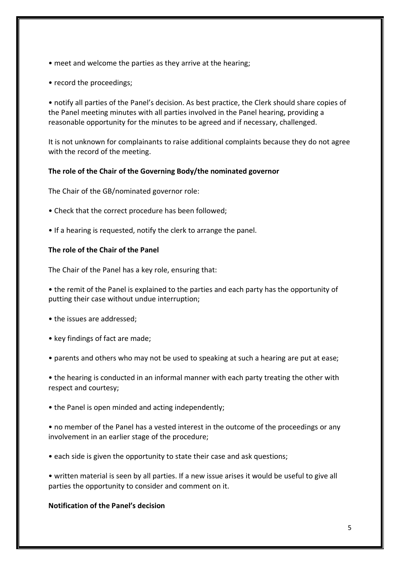- meet and welcome the parties as they arrive at the hearing;
- record the proceedings;

• notify all parties of the Panel's decision. As best practice, the Clerk should share copies of the Panel meeting minutes with all parties involved in the Panel hearing, providing a reasonable opportunity for the minutes to be agreed and if necessary, challenged.

It is not unknown for complainants to raise additional complaints because they do not agree with the record of the meeting.

#### **The role of the Chair of the Governing Body/the nominated governor**

The Chair of the GB/nominated governor role:

- Check that the correct procedure has been followed;
- If a hearing is requested, notify the clerk to arrange the panel.

#### **The role of the Chair of the Panel**

The Chair of the Panel has a key role, ensuring that:

• the remit of the Panel is explained to the parties and each party has the opportunity of putting their case without undue interruption;

- the issues are addressed;
- key findings of fact are made;
- parents and others who may not be used to speaking at such a hearing are put at ease;

• the hearing is conducted in an informal manner with each party treating the other with respect and courtesy;

• the Panel is open minded and acting independently;

• no member of the Panel has a vested interest in the outcome of the proceedings or any involvement in an earlier stage of the procedure;

• each side is given the opportunity to state their case and ask questions;

• written material is seen by all parties. If a new issue arises it would be useful to give all parties the opportunity to consider and comment on it.

#### **Notification of the Panel's decision**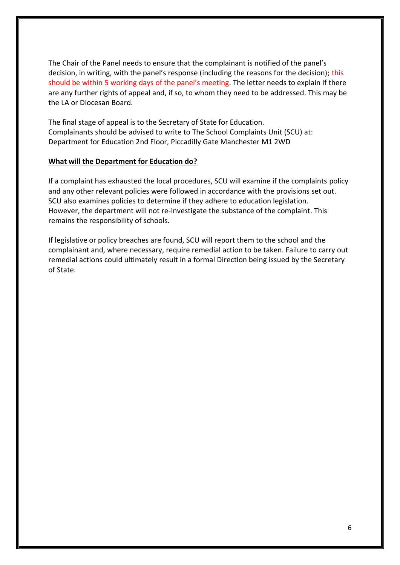The Chair of the Panel needs to ensure that the complainant is notified of the panel's decision, in writing, with the panel's response (including the reasons for the decision); this should be within 5 working days of the panel's meeting. The letter needs to explain if there are any further rights of appeal and, if so, to whom they need to be addressed. This may be the LA or Diocesan Board.

The final stage of appeal is to the Secretary of State for Education. Complainants should be advised to write to The School Complaints Unit (SCU) at: Department for Education 2nd Floor, Piccadilly Gate Manchester M1 2WD

#### **What will the Department for Education do?**

If a complaint has exhausted the local procedures, SCU will examine if the complaints policy and any other relevant policies were followed in accordance with the provisions set out. SCU also examines policies to determine if they adhere to education legislation. However, the department will not re-investigate the substance of the complaint. This remains the responsibility of schools.

If legislative or policy breaches are found, SCU will report them to the school and the complainant and, where necessary, require remedial action to be taken. Failure to carry out remedial actions could ultimately result in a formal Direction being issued by the Secretary of State.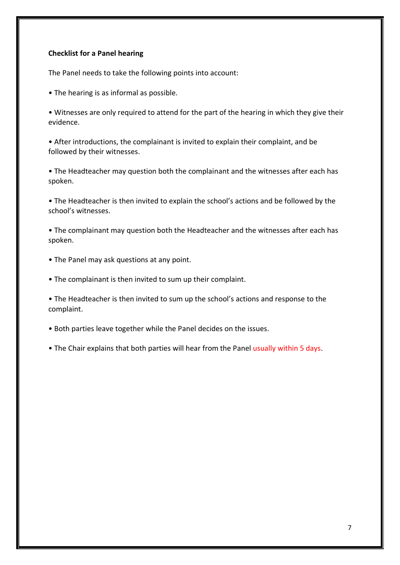#### **Checklist for a Panel hearing**

The Panel needs to take the following points into account:

- The hearing is as informal as possible.
- Witnesses are only required to attend for the part of the hearing in which they give their evidence.

• After introductions, the complainant is invited to explain their complaint, and be followed by their witnesses.

• The Headteacher may question both the complainant and the witnesses after each has spoken.

• The Headteacher is then invited to explain the school's actions and be followed by the school's witnesses.

• The complainant may question both the Headteacher and the witnesses after each has spoken.

- The Panel may ask questions at any point.
- The complainant is then invited to sum up their complaint.

• The Headteacher is then invited to sum up the school's actions and response to the complaint.

• Both parties leave together while the Panel decides on the issues.

• The Chair explains that both parties will hear from the Panel usually within 5 days.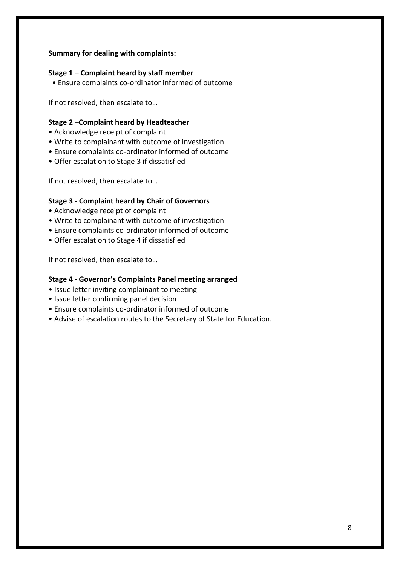#### **Summary for dealing with complaints:**

#### **Stage 1 – Complaint heard by staff member**

• Ensure complaints co-ordinator informed of outcome

If not resolved, then escalate to…

#### **Stage 2** –**Complaint heard by Headteacher**

- Acknowledge receipt of complaint
- Write to complainant with outcome of investigation
- Ensure complaints co-ordinator informed of outcome
- Offer escalation to Stage 3 if dissatisfied

If not resolved, then escalate to…

#### **Stage 3 - Complaint heard by Chair of Governors**

- Acknowledge receipt of complaint
- Write to complainant with outcome of investigation
- Ensure complaints co-ordinator informed of outcome
- Offer escalation to Stage 4 if dissatisfied

If not resolved, then escalate to…

#### **Stage 4 - Governor's Complaints Panel meeting arranged**

- Issue letter inviting complainant to meeting
- Issue letter confirming panel decision
- Ensure complaints co-ordinator informed of outcome
- Advise of escalation routes to the Secretary of State for Education.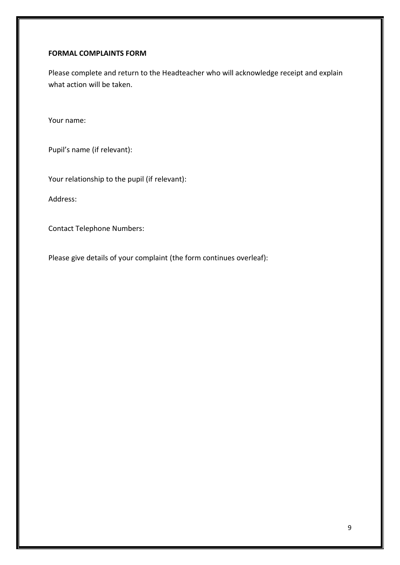#### **FORMAL COMPLAINTS FORM**

Please complete and return to the Headteacher who will acknowledge receipt and explain what action will be taken.

Your name:

Pupil's name (if relevant):

Your relationship to the pupil (if relevant):

Address:

Contact Telephone Numbers:

Please give details of your complaint (the form continues overleaf):